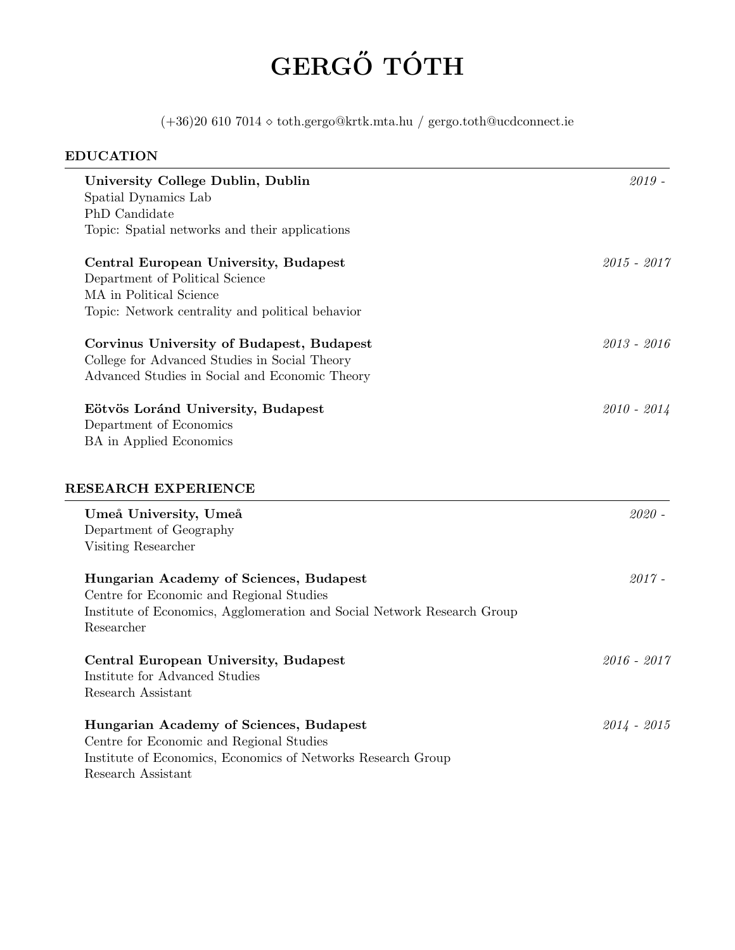# GERGŐ TÓTH

(+36)20 610 7014 toth.gergo@krtk.mta.hu / gergo.toth@ucdconnect.ie

# EDUCATION University College Dublin, Dublin 2019 - 2019 - 2019 - 2019 - 2019 - 2019 - 2019 - 2019 - 2019 - 2019 - 2019 - 2019 - 2019 - 2019 - 2019 - 2019 - 2019 - 2019 - 2019 - 2019 - 2019 - 2019 - 2019 - 2019 - 2019 - 2019 - 2019 -Spatial Dynamics Lab PhD Candidate Topic: Spatial networks and their applications Central European University, Budapest 2015 - 2017 Department of Political Science MA in Political Science Topic: Network centrality and political behavior Corvinus University of Budapest, Budapest 2013 - 2016 College for Advanced Studies in Social Theory Advanced Studies in Social and Economic Theory Eötvös Loránd University, Budapest 2010 - 2014 Department of Economics BA in Applied Economics RESEARCH EXPERIENCE Umeå University, Umeå 2020 -Department of Geography Visiting Researcher Hungarian Academy of Sciences, Budapest 2017 - 2017 Centre for Economic and Regional Studies Institute of Economics, Agglomeration and Social Network Research Group Researcher Central European University, Budapest 2016 - 2017 Institute for Advanced Studies Research Assistant Hungarian Academy of Sciences, Budapest 2014 - 2015 Centre for Economic and Regional Studies Institute of Economics, Economics of Networks Research Group Research Assistant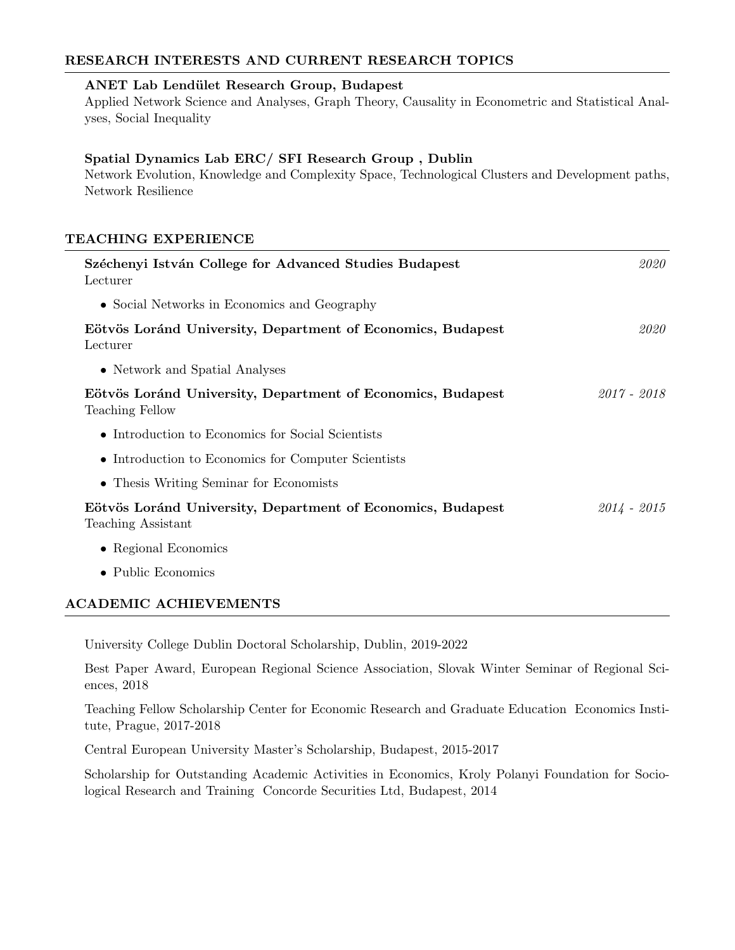## RESEARCH INTERESTS AND CURRENT RESEARCH TOPICS

#### ANET Lab Lendület Research Group, Budapest

Applied Network Science and Analyses, Graph Theory, Causality in Econometric and Statistical Analyses, Social Inequality

#### Spatial Dynamics Lab ERC/ SFI Research Group , Dublin

Network Evolution, Knowledge and Complexity Space, Technological Clusters and Development paths, Network Resilience

## TEACHING EXPERIENCE

| Széchenyi István College for Advanced Studies Budapest<br>Lecturer                | 2020          |
|-----------------------------------------------------------------------------------|---------------|
| • Social Networks in Economics and Geography                                      |               |
| Eötvös Loránd University, Department of Economics, Budapest<br>Lecturer           | 2020          |
| • Network and Spatial Analyses                                                    |               |
| Eötvös Loránd University, Department of Economics, Budapest<br>Teaching Fellow    | $2017 - 2018$ |
| • Introduction to Economics for Social Scientists                                 |               |
| • Introduction to Economics for Computer Scientists                               |               |
| • Thesis Writing Seminar for Economists                                           |               |
| Eötvös Loránd University, Department of Economics, Budapest<br>Teaching Assistant | $2014 - 2015$ |
| • Regional Economics                                                              |               |
| • Public Economics                                                                |               |
| <b>ACADEMIC ACHIEVEMENTS</b>                                                      |               |

University College Dublin Doctoral Scholarship, Dublin, 2019-2022

Best Paper Award, European Regional Science Association, Slovak Winter Seminar of Regional Sciences, 2018

Teaching Fellow Scholarship Center for Economic Research and Graduate Education Economics Institute, Prague, 2017-2018

Central European University Master's Scholarship, Budapest, 2015-2017

Scholarship for Outstanding Academic Activities in Economics, Kroly Polanyi Foundation for Sociological Research and Training Concorde Securities Ltd, Budapest, 2014